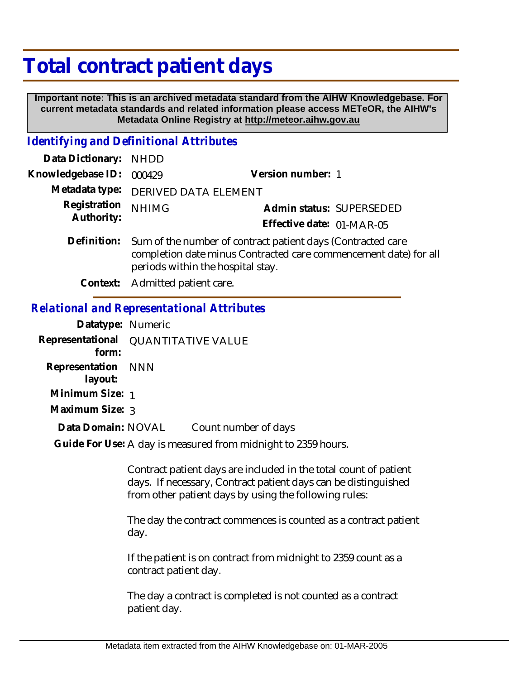## **Total contract patient days**

 **Important note: This is an archived metadata standard from the AIHW Knowledgebase. For current metadata standards and related information please access METeOR, the AIHW's Metadata Online Registry at http://meteor.aihw.gov.au**

## *Identifying and Definitional Attributes*

| Data Dictionary: NHDD      |                                                                                                                                                                      |                           |                          |
|----------------------------|----------------------------------------------------------------------------------------------------------------------------------------------------------------------|---------------------------|--------------------------|
| Knowledgebase ID:          | 000429                                                                                                                                                               | Version number: 1         |                          |
| Metadata type:             | <b>DERIVED DATA ELEMENT</b>                                                                                                                                          |                           |                          |
| Registration<br>Authority: | <b>NHIMG</b>                                                                                                                                                         |                           | Admin status: SUPERSEDED |
|                            |                                                                                                                                                                      | Effective date: 01-MAR-05 |                          |
| Definition:                | Sum of the number of contract patient days (Contracted care<br>completion date minus Contracted care commencement date) for all<br>periods within the hospital stay. |                           |                          |
| Context:                   | Admitted patient care.                                                                                                                                               |                           |                          |

## *Relational and Representational Attributes*

| Datatype: Numeric             |                                     |
|-------------------------------|-------------------------------------|
| form:                         | Representational QUANTITATIVE VALUE |
| Representation NNN<br>layout: |                                     |
| Minimum Size: 1               |                                     |
| Maximum Size: 3               |                                     |
| Data Domain: NOVAL            | Count number of days                |
|                               |                                     |

Guide For Use: A day is measured from midnight to 2359 hours.

Contract patient days are included in the total count of patient days. If necessary, Contract patient days can be distinguished from other patient days by using the following rules:

The day the contract commences is counted as a contract patient day.

If the patient is on contract from midnight to 2359 count as a contract patient day.

The day a contract is completed is not counted as a contract patient day.